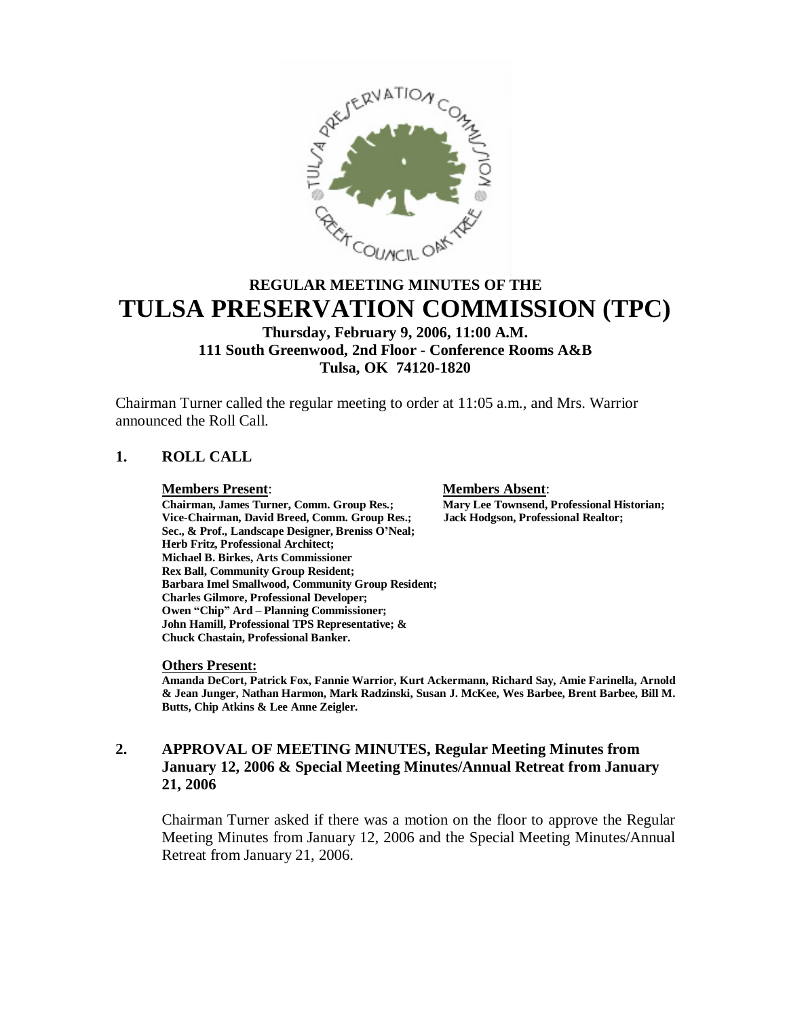

# **REGULAR MEETING MINUTES OF THE TULSA PRESERVATION COMMISSION (TPC)**

## **Thursday, February 9, 2006, 11:00 A.M. 111 South Greenwood, 2nd Floor - Conference Rooms A&B Tulsa, OK 74120-1820**

Chairman Turner called the regular meeting to order at 11:05 a.m., and Mrs. Warrior announced the Roll Call.

## **1. ROLL CALL**

**Members Present**: **Members Absent**: **Chairman, James Turner, Comm. Group Res.; Mary Lee Townsend, Professional History Comment Comm. Group Res.; Jack Hodgson, Professional Realtor; Vice-Chairman, David Breed, Comm. Group Res.; Sec., & Prof., Landscape Designer, Breniss O'Neal; Herb Fritz, Professional Architect; Michael B. Birkes, Arts Commissioner Rex Ball, Community Group Resident; Barbara Imel Smallwood, Community Group Resident; Charles Gilmore, Professional Developer; Owen "Chip" Ard – Planning Commissioner; John Hamill, Professional TPS Representative; & Chuck Chastain, Professional Banker.**

## **Others Present:**

**Amanda DeCort, Patrick Fox, Fannie Warrior, Kurt Ackermann, Richard Say, Amie Farinella, Arnold & Jean Junger, Nathan Harmon, Mark Radzinski, Susan J. McKee, Wes Barbee, Brent Barbee, Bill M. Butts, Chip Atkins & Lee Anne Zeigler.**

## **2. APPROVAL OF MEETING MINUTES, Regular Meeting Minutes from January 12, 2006 & Special Meeting Minutes/Annual Retreat from January 21, 2006**

Chairman Turner asked if there was a motion on the floor to approve the Regular Meeting Minutes from January 12, 2006 and the Special Meeting Minutes/Annual Retreat from January 21, 2006.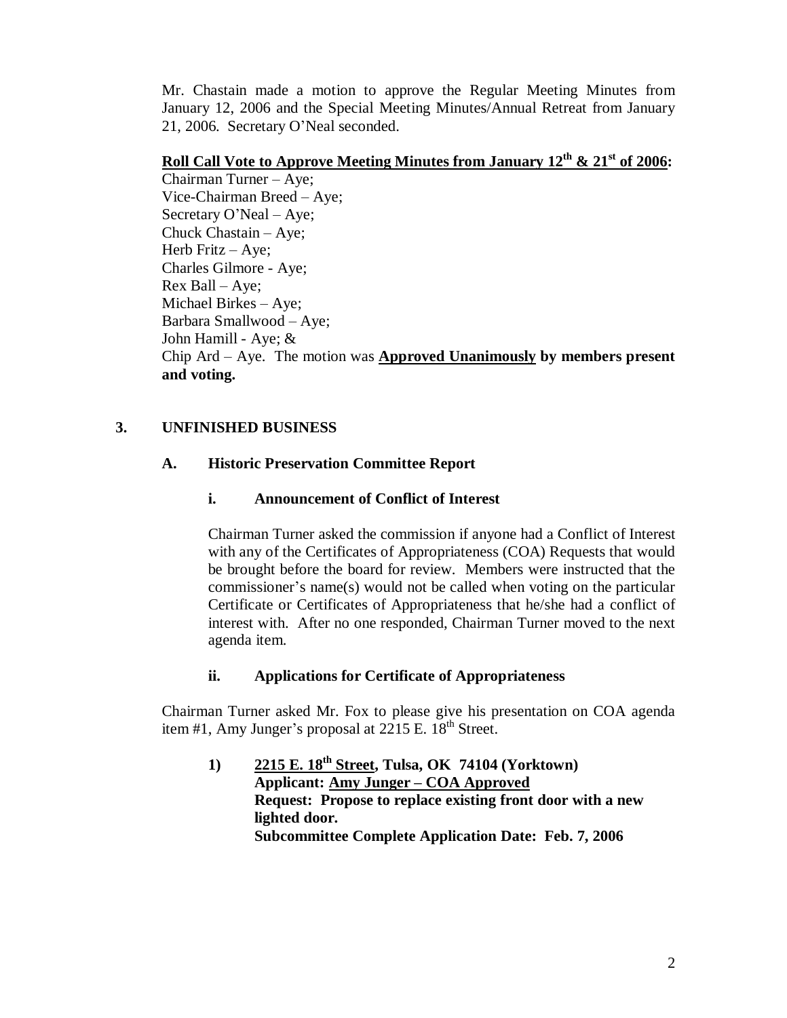Mr. Chastain made a motion to approve the Regular Meeting Minutes from January 12, 2006 and the Special Meeting Minutes/Annual Retreat from January 21, 2006. Secretary O'Neal seconded.

# **Roll Call Vote to Approve Meeting Minutes from January 12th & 21st of 2006:**

Chairman Turner –Aye; Vice-Chairman Breed – Aye; Secretary O'Neal –Aye; Chuck Chastain – Aye; Herb Fritz – Aye; Charles Gilmore - Aye; Rex Ball –Aye; Michael Birkes – Aye; Barbara Smallwood –Aye; John Hamill - Aye; & Chip Ard –Aye. The motion was **Approved Unanimously by members present and voting.**

## **3. UNFINISHED BUSINESS**

## **A. Historic Preservation Committee Report**

## **i. Announcement of Conflict of Interest**

Chairman Turner asked the commission if anyone had a Conflict of Interest with any of the Certificates of Appropriateness (COA) Requests that would be brought before the board for review. Members were instructed that the commissioner's name(s) would not be called when voting on the particular Certificate or Certificates of Appropriateness that he/she had a conflict of interest with. After no one responded, Chairman Turner moved to the next agenda item.

## **ii. Applications for Certificate of Appropriateness**

Chairman Turner asked Mr. Fox to please give his presentation on COA agenda item #1, Amy Junger's proposal at  $2215$  E.  $18<sup>th</sup>$  Street.

**1) 2215 E. 18th Street, Tulsa, OK 74104 (Yorktown) Applicant: Amy Junger –COA Approved Request: Propose to replace existing front door with a new lighted door. Subcommittee Complete Application Date: Feb. 7, 2006**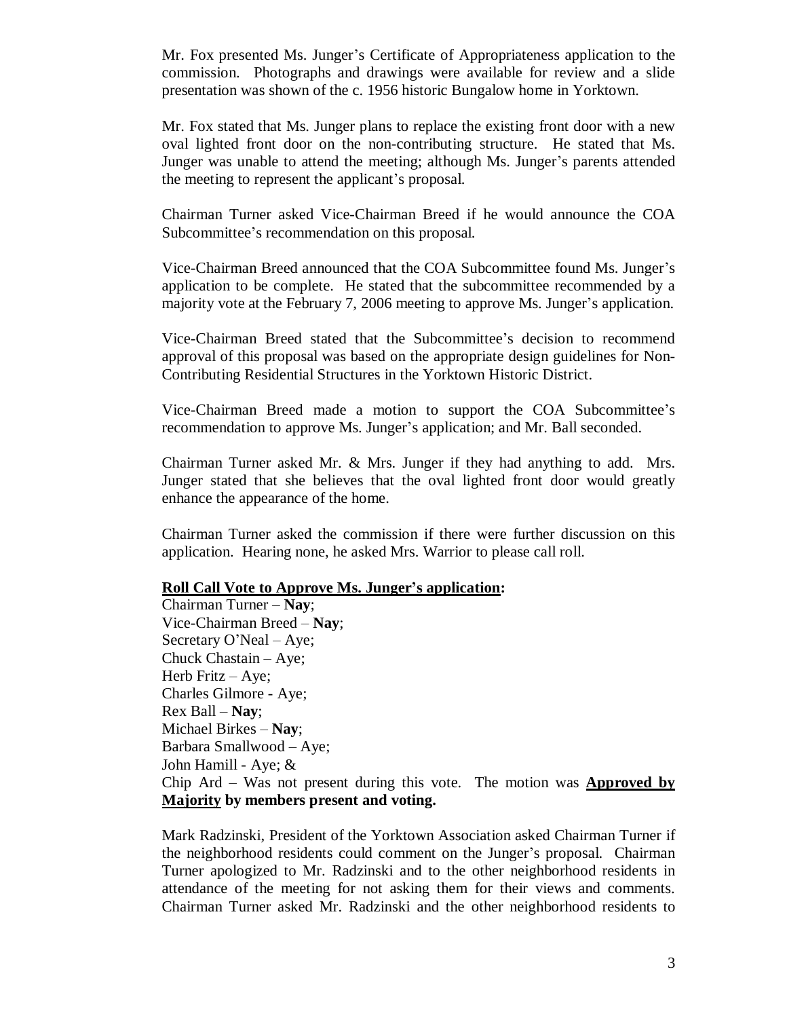Mr. Fox presented Ms. Junger's Certificate of Appropriateness application to the commission. Photographs and drawings were available for review and a slide presentation was shown of the c. 1956 historic Bungalow home in Yorktown.

Mr. Fox stated that Ms. Junger plans to replace the existing front door with a new oval lighted front door on the non-contributing structure. He stated that Ms. Junger was unable to attend the meeting; although Ms. Junger's parents attended the meeting to represent the applicant's proposal.

Chairman Turner asked Vice-Chairman Breed if he would announce the COA Subcommittee's recommendation on this proposal.

Vice-Chairman Breed announced that the COA Subcommittee found Ms. Junger's application to be complete. He stated that the subcommittee recommended by a majority vote at the February 7, 2006 meeting to approve Ms. Junger's application.

Vice-Chairman Breed stated that the Subcommittee's decision to recommend approval of this proposal was based on the appropriate design guidelines for Non-Contributing Residential Structures in the Yorktown Historic District.

Vice-Chairman Breed made a motion to support the COA Subcommittee's recommendation to approve Ms. Junger's application; and Mr. Ball seconded.

Chairman Turner asked Mr. & Mrs. Junger if they had anything to add. Mrs. Junger stated that she believes that the oval lighted front door would greatly enhance the appearance of the home.

Chairman Turner asked the commission if there were further discussion on this application. Hearing none, he asked Mrs. Warrior to please call roll.

## **Roll Call Vote to Approve Ms. Junger's application:**

Chairman Turner –**Nay**; Vice-Chairman Breed –**Nay**; Secretary O'Neal – Aye; Chuck Chastain – Aye; Herb Fritz – Aye; Charles Gilmore - Aye; Rex Ball –**Nay**; Michael Birkes –**Nay**; Barbara Smallwood – Aye; John Hamill - Aye; & Chip Ard – Was not present during this vote. The motion was **Approved by Majority by members present and voting.**

Mark Radzinski, President of the Yorktown Association asked Chairman Turner if the neighborhood residents could comment on the Junger's proposal. Chairman Turner apologized to Mr. Radzinski and to the other neighborhood residents in attendance of the meeting for not asking them for their views and comments. Chairman Turner asked Mr. Radzinski and the other neighborhood residents to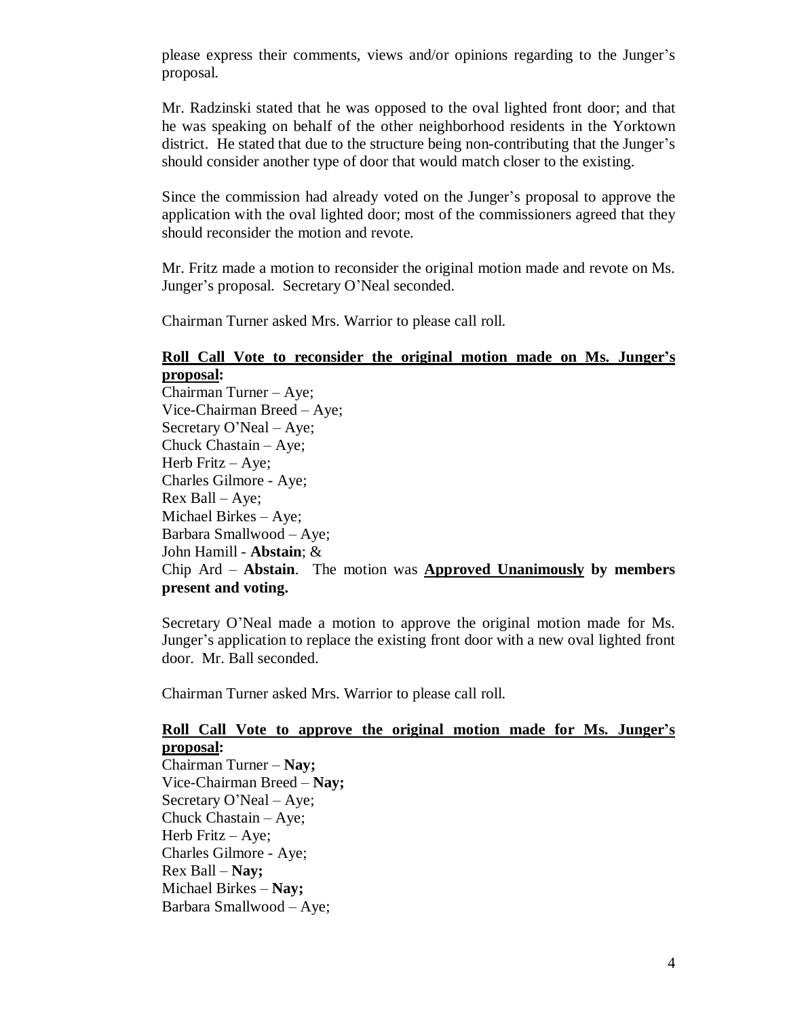please express their comments, views and/or opinions regarding to the Junger's proposal.

Mr. Radzinski stated that he was opposed to the oval lighted front door; and that he was speaking on behalf of the other neighborhood residents in the Yorktown district. He stated that due to the structure being non-contributing that the Junger's should consider another type of door that would match closer to the existing.

Since the commission had already voted on the Junger's proposal to approve the application with the oval lighted door; most of the commissioners agreed that they should reconsider the motion and revote.

Mr. Fritz made a motion to reconsider the original motion made and revote on Ms. Junger's proposal. Secretary O'Neal seconded.

Chairman Turner asked Mrs. Warrior to please call roll.

### **Roll Call Vote to reconsider the original motion made on Ms. Junger's proposal:**

Chairman Turner – Aye; Vice-Chairman Breed – Aye; Secretary O'Neal – Aye; Chuck Chastain – Aye; Herb Fritz – Aye; Charles Gilmore - Aye;  $Rex$  Ball – Aye; Michael Birkes – Aye; Barbara Smallwood – Aye; John Hamill - **Abstain**; & Chip Ard –**Abstain**. The motion was **Approved Unanimously by members present and voting.**

Secretary O'Neal made a motion to approve the original motion made for Ms. Junger's application to replace the existing front door with a new oval lighted front door. Mr. Ball seconded.

Chairman Turner asked Mrs. Warrior to please call roll.

## **Roll Call Vote to approve the original motion made for Ms. Junger's proposal:**

Chairman Turner –**Nay;** Vice-Chairman Breed –**Nay;** Secretary O'Neal – Aye; Chuck Chastain – Aye; Herb Fritz – Aye; Charles Gilmore - Aye; Rex Ball –**Nay;** Michael Birkes –**Nay;** Barbara Smallwood – Aye;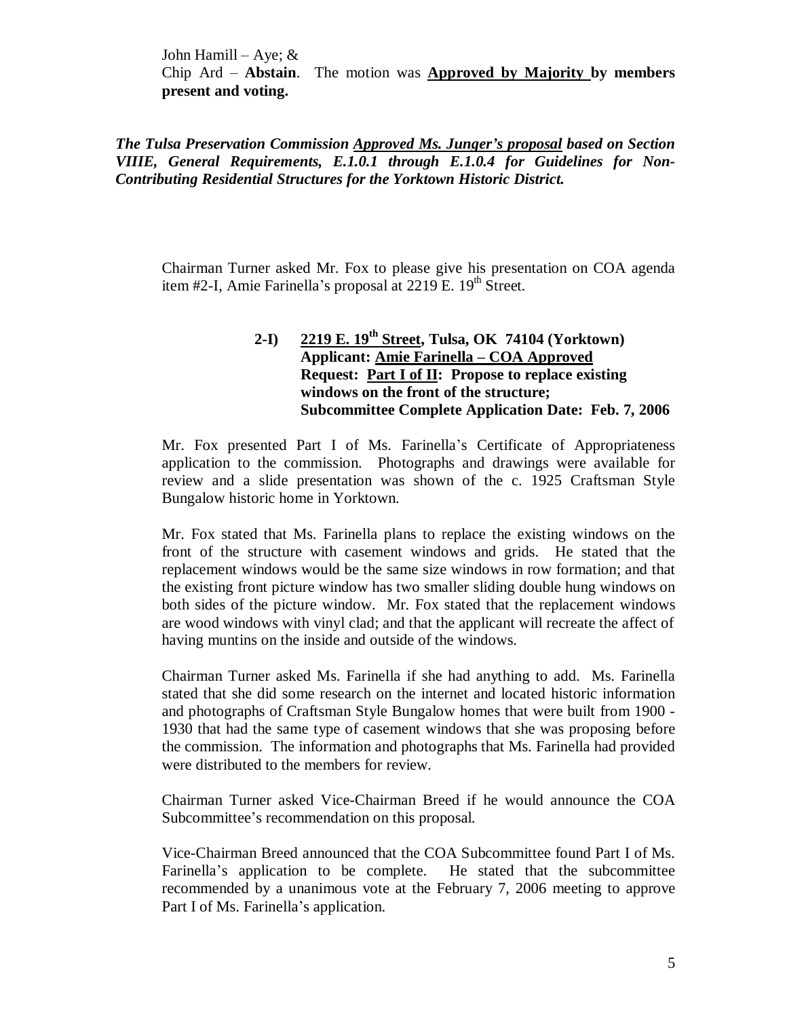John Hamill – Aye;  $\&$ Chip Ard –**Abstain**. The motion was **Approved by Majority by members present and voting.**

*The Tulsa Preservation Commission Approved Ms. Junger's proposal based on Section VIIIE, General Requirements, E.1.0.1 through E.1.0.4 for Guidelines for Non-Contributing Residential Structures for the Yorktown Historic District.*

Chairman Turner asked Mr. Fox to please give his presentation on COA agenda item #2-I, Amie Farinella's proposal at  $2219$  E.  $19<sup>th</sup>$  Street.

## **2-I) 2219 E. 19th Street, Tulsa, OK 74104 (Yorktown) Applicant: Amie Farinella –COA Approved Request: Part I of II: Propose to replace existing windows on the front of the structure; Subcommittee Complete Application Date: Feb. 7, 2006**

Mr. Fox presented Part I of Ms. Farinella's Certificate of Appropriateness application to the commission. Photographs and drawings were available for review and a slide presentation was shown of the c. 1925 Craftsman Style Bungalow historic home in Yorktown.

Mr. Fox stated that Ms. Farinella plans to replace the existing windows on the front of the structure with casement windows and grids. He stated that the replacement windows would be the same size windows in row formation; and that the existing front picture window has two smaller sliding double hung windows on both sides of the picture window. Mr. Fox stated that the replacement windows are wood windows with vinyl clad; and that the applicant will recreate the affect of having muntins on the inside and outside of the windows.

Chairman Turner asked Ms. Farinella if she had anything to add. Ms. Farinella stated that she did some research on the internet and located historic information and photographs of Craftsman Style Bungalow homes that were built from 1900 - 1930 that had the same type of casement windows that she was proposing before the commission. The information and photographs that Ms. Farinella had provided were distributed to the members for review.

Chairman Turner asked Vice-Chairman Breed if he would announce the COA Subcommittee's recommendation on this proposal.

Vice-Chairman Breed announced that the COA Subcommittee found Part I of Ms. Farinella's application to be complete. He stated that the subcommittee recommended by a unanimous vote at the February 7, 2006 meeting to approve Part I of Ms. Farinella's application.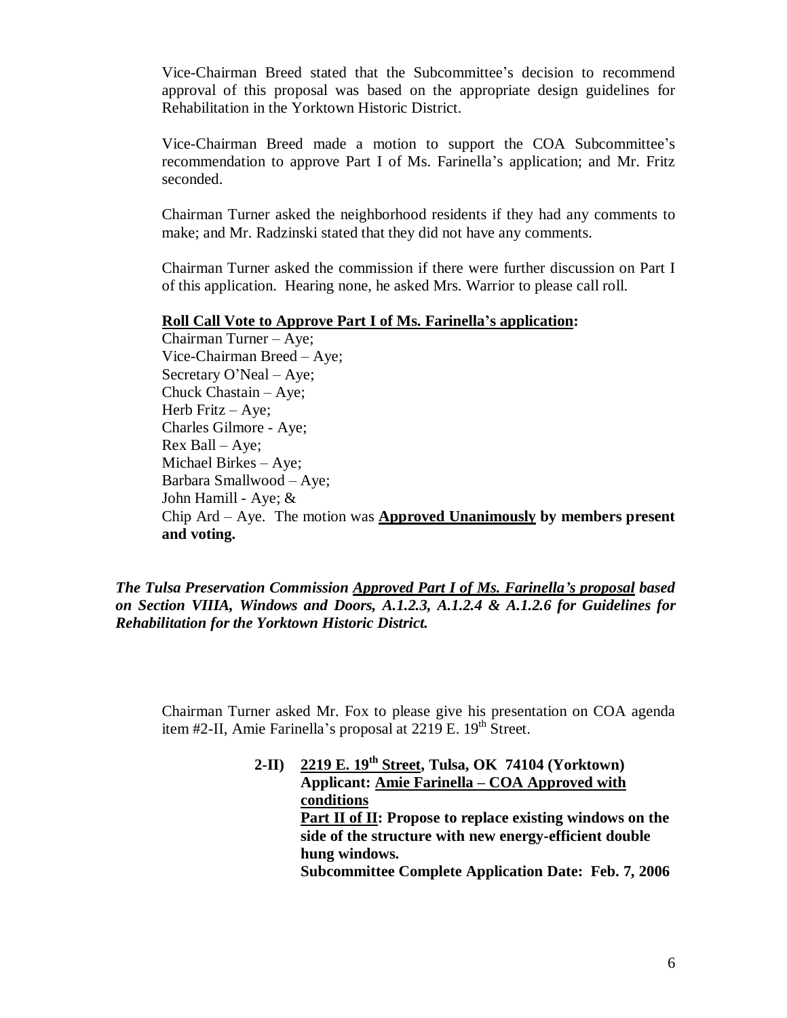Vice-Chairman Breed stated that the Subcommittee's decision to recommend approval of this proposal was based on the appropriate design guidelines for Rehabilitation in the Yorktown Historic District.

Vice-Chairman Breed made a motion to support the COA Subcommittee's recommendation to approve Part I of Ms. Farinella's application; and Mr. Fritz seconded.

Chairman Turner asked the neighborhood residents if they had any comments to make; and Mr. Radzinski stated that they did not have any comments.

Chairman Turner asked the commission if there were further discussion on Part I of this application. Hearing none, he asked Mrs. Warrior to please call roll.

#### **Roll Call Vote to Approve Part I of Ms. Farinella's application:**

Chairman Turner –Aye; Vice-Chairman Breed –Aye; Secretary O'Neal – Aye; Chuck Chastain – Aye; Herb Fritz – Aye; Charles Gilmore - Aye; Rex Ball –Aye; Michael Birkes –Aye; Barbara Smallwood – Aye; John Hamill - Aye; & Chip Ard –Aye. The motion was **Approved Unanimously by members present and voting.**

*The Tulsa Preservation Commission Approved Part I of Ms. Farinella's proposal based on Section VIIIA, Windows and Doors, A.1.2.3, A.1.2.4 & A.1.2.6 for Guidelines for Rehabilitation for the Yorktown Historic District.*

Chairman Turner asked Mr. Fox to please give his presentation on COA agenda item #2-II, Amie Farinella's proposal at  $2219$  E.  $19<sup>th</sup>$  Street.

> **2-II) 2219 E. 19th Street, Tulsa, OK 74104 (Yorktown) Applicant: Amie Farinella –COA Approved with conditions Part II of II: Propose to replace existing windows on the side of the structure with new energy-efficient double hung windows. Subcommittee Complete Application Date: Feb. 7, 2006**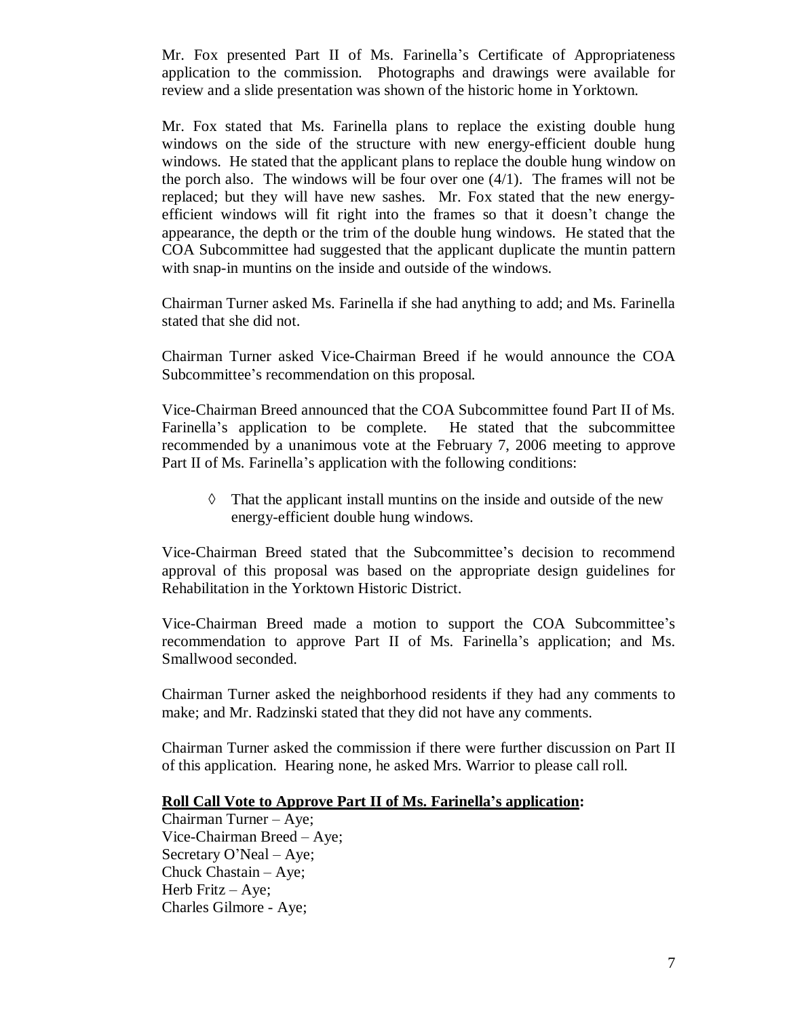Mr. Fox presented Part II of Ms. Farinella's Certificate of Appropriateness application to the commission. Photographs and drawings were available for review and a slide presentation was shown of the historic home in Yorktown.

Mr. Fox stated that Ms. Farinella plans to replace the existing double hung windows on the side of the structure with new energy-efficient double hung windows. He stated that the applicant plans to replace the double hung window on the porch also. The windows will be four over one (4/1). The frames will not be replaced; but they will have new sashes. Mr. Fox stated that the new energyefficient windows will fit right into the frames so that it doesn't change the appearance, the depth or the trim of the double hung windows. He stated that the COA Subcommittee had suggested that the applicant duplicate the muntin pattern with snap-in muntins on the inside and outside of the windows.

Chairman Turner asked Ms. Farinella if she had anything to add; and Ms. Farinella stated that she did not.

Chairman Turner asked Vice-Chairman Breed if he would announce the COA Subcommittee's recommendation on this proposal.

Vice-Chairman Breed announced that the COA Subcommittee found Part II of Ms. Farinella's application to be complete. He stated that the subcommittee recommended by a unanimous vote at the February 7, 2006 meeting to approve Part II of Ms. Farinella's application with the following conditions:

 $\Diamond$  That the applicant install muntins on the inside and outside of the new energy-efficient double hung windows.

Vice-Chairman Breed stated that the Subcommittee's decision to recommend approval of this proposal was based on the appropriate design guidelines for Rehabilitation in the Yorktown Historic District.

Vice-Chairman Breed made a motion to support the COA Subcommittee's recommendation to approve Part II of Ms. Farinella's application; and Ms. Smallwood seconded.

Chairman Turner asked the neighborhood residents if they had any comments to make; and Mr. Radzinski stated that they did not have any comments.

Chairman Turner asked the commission if there were further discussion on Part II of this application. Hearing none, he asked Mrs. Warrior to please call roll.

## **Roll Call Vote to Approve Part II of Ms. Farinella's application:**

Chairman Turner –Aye; Vice-Chairman Breed –Aye; Secretary O'Neal – Aye; Chuck Chastain – Aye; Herb Fritz – Aye; Charles Gilmore - Aye;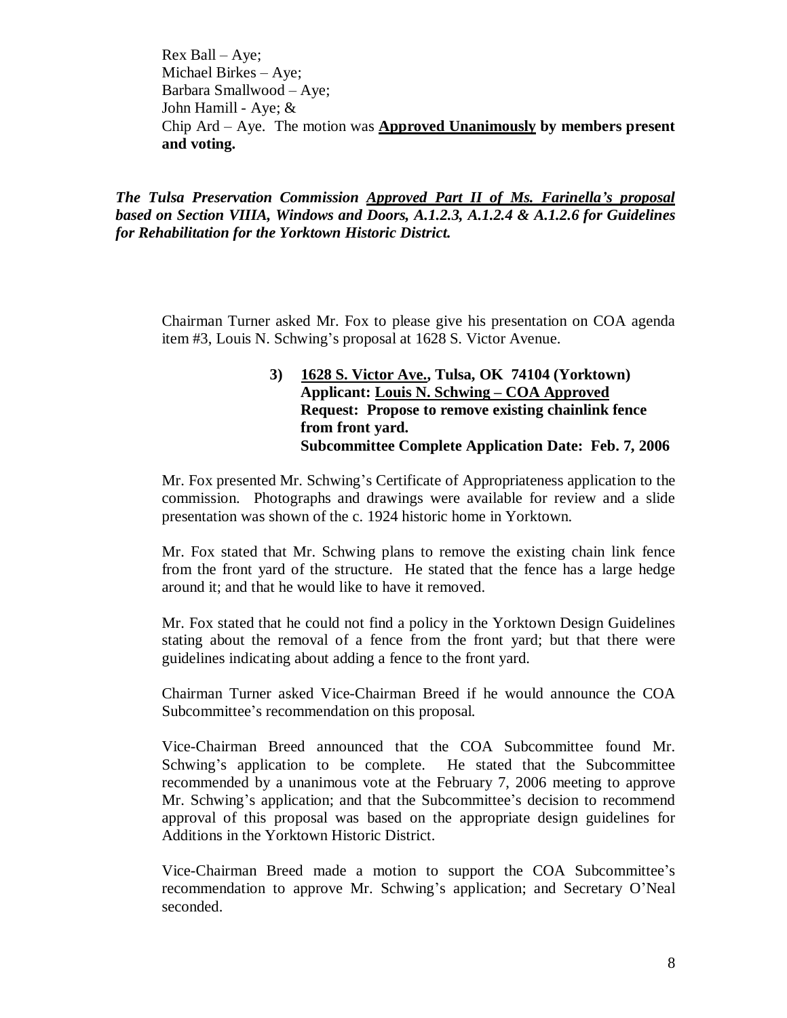Rex Ball –Aye; Michael Birkes – Aye; Barbara Smallwood – Aye; John Hamill - Aye; & Chip Ard – Aye. The motion was **Approved Unanimously by members present and voting.**

*The Tulsa Preservation Commission Approved Part II of Ms. Farinella's proposal based on Section VIIIA, Windows and Doors, A.1.2.3, A.1.2.4 & A.1.2.6 for Guidelines for Rehabilitation for the Yorktown Historic District.*

Chairman Turner asked Mr. Fox to please give his presentation on COA agenda item #3, Louis N. Schwing's proposal at 1628 S. Victor Avenue.

## **3) 1628 S. Victor Ave., Tulsa, OK 74104 (Yorktown) Applicant: Louis N. Schwing –COA Approved Request: Propose to remove existing chainlink fence from front yard. Subcommittee Complete Application Date: Feb. 7, 2006**

Mr. Fox presented Mr. Schwing's Certificate of Appropriateness application to the commission. Photographs and drawings were available for review and a slide presentation was shown of the c. 1924 historic home in Yorktown.

Mr. Fox stated that Mr. Schwing plans to remove the existing chain link fence from the front yard of the structure. He stated that the fence has a large hedge around it; and that he would like to have it removed.

Mr. Fox stated that he could not find a policy in the Yorktown Design Guidelines stating about the removal of a fence from the front yard; but that there were guidelines indicating about adding a fence to the front yard.

Chairman Turner asked Vice-Chairman Breed if he would announce the COA Subcommittee's recommendation on this proposal.

Vice-Chairman Breed announced that the COA Subcommittee found Mr. Schwing's application to be complete. He stated that the Subcommittee recommended by a unanimous vote at the February 7, 2006 meeting to approve Mr. Schwing's application; and that the Subcommittee's decision to recommend approval of this proposal was based on the appropriate design guidelines for Additions in the Yorktown Historic District.

Vice-Chairman Breed made a motion to support the COA Subcommittee's recommendation to approve Mr. Schwing's application; and Secretary O'Neal seconded.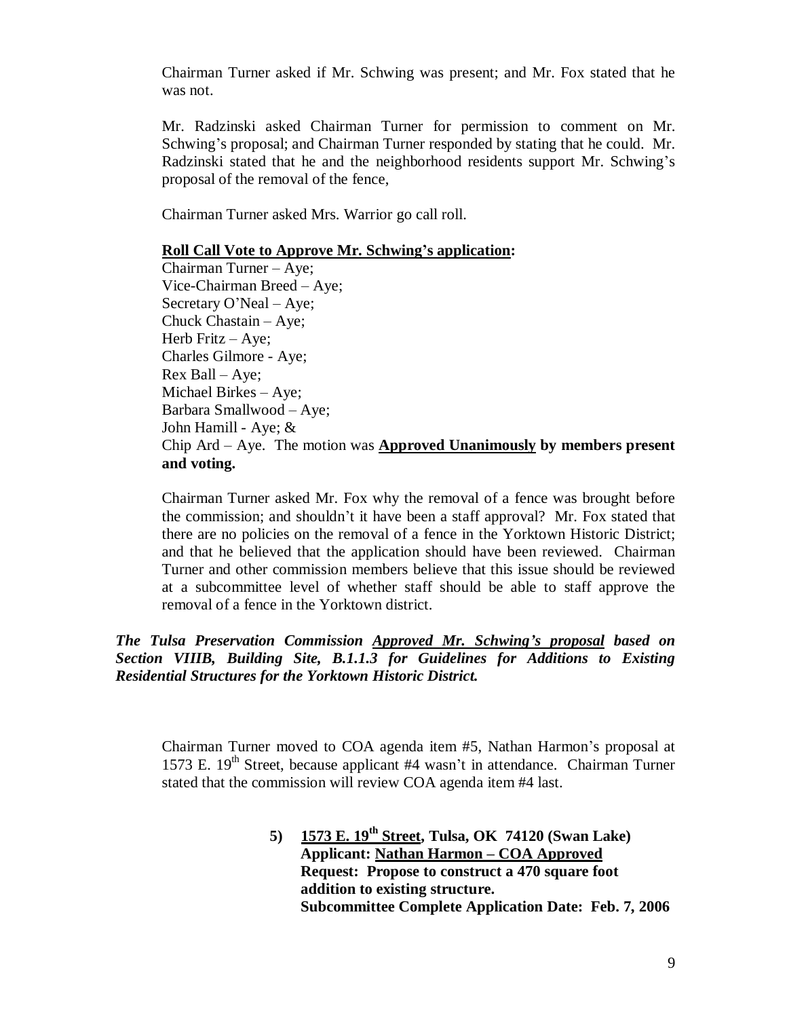Chairman Turner asked if Mr. Schwing was present; and Mr. Fox stated that he was not.

Mr. Radzinski asked Chairman Turner for permission to comment on Mr. Schwing's proposal; and Chairman Turner responded by stating that he could. Mr. Radzinski stated that he and the neighborhood residents support Mr. Schwing's proposal of the removal of the fence,

Chairman Turner asked Mrs. Warrior go call roll.

## **Roll Call Vote to Approve Mr. Schwing's application:**

Chairman Turner –Aye; Vice-Chairman Breed –Aye; Secretary O'Neal – Aye; Chuck Chastain – Aye; Herb Fritz – Aye; Charles Gilmore - Aye; Rex Ball –Aye; Michael Birkes – Aye; Barbara Smallwood – Aye; John Hamill - Aye; & Chip Ard – Aye. The motion was **Approved Unanimously by members present and voting.**

Chairman Turner asked Mr. Fox why the removal of a fence was brought before the commission; and shouldn't it have been a staff approval? Mr. Fox stated that there are no policies on the removal of a fence in the Yorktown Historic District; and that he believed that the application should have been reviewed. Chairman Turner and other commission members believe that this issue should be reviewed at a subcommittee level of whether staff should be able to staff approve the removal of a fence in the Yorktown district.

*The Tulsa Preservation Commission Approved Mr. Schwing's proposal based on Section VIIIB, Building Site, B.1.1.3 for Guidelines for Additions to Existing Residential Structures for the Yorktown Historic District.*

Chairman Turner moved to COA agenda item #5, Nathan Harmon's proposal at 1573 E. 19<sup>th</sup> Street, because applicant #4 wasn't in attendance. Chairman Turner stated that the commission will review COA agenda item #4 last.

> **5) 1573 E. 19th Street, Tulsa, OK 74120 (Swan Lake) Applicant: Nathan Harmon –COA Approved Request: Propose to construct a 470 square foot addition to existing structure. Subcommittee Complete Application Date: Feb. 7, 2006**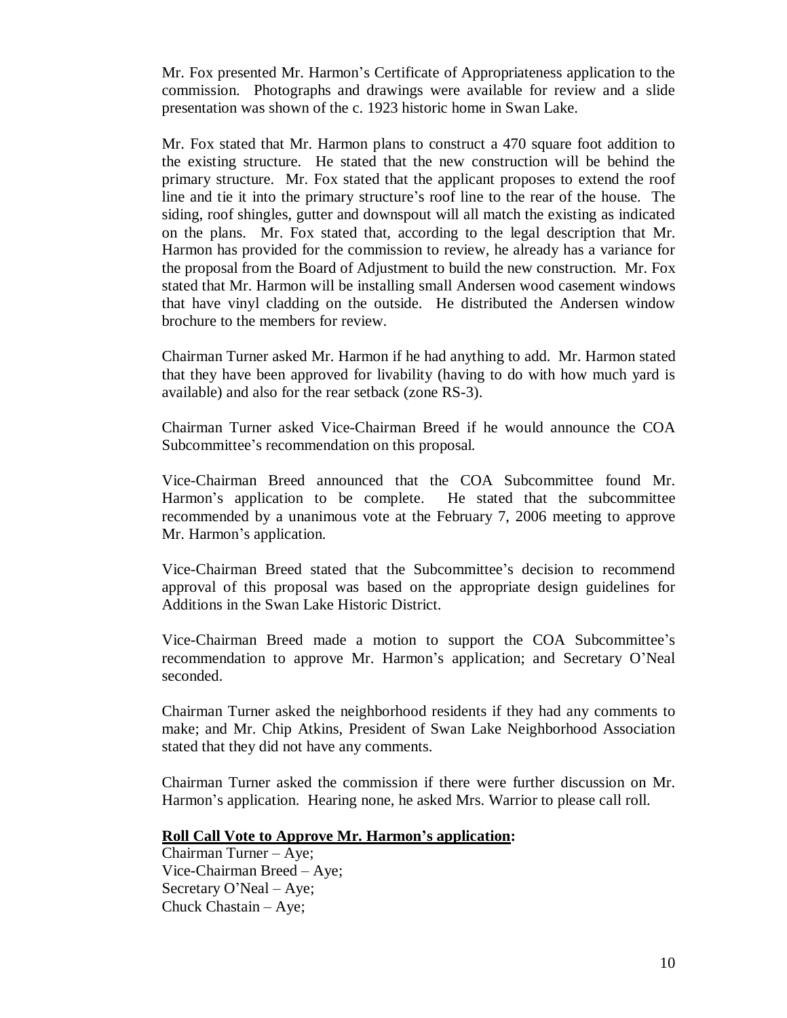Mr. Fox presented Mr. Harmon's Certificate of Appropriateness application to the commission. Photographs and drawings were available for review and a slide presentation was shown of the c. 1923 historic home in Swan Lake.

Mr. Fox stated that Mr. Harmon plans to construct a 470 square foot addition to the existing structure. He stated that the new construction will be behind the primary structure. Mr. Fox stated that the applicant proposes to extend the roof line and tie it into the primary structure's roof line to the rear of the house. The siding, roof shingles, gutter and downspout will all match the existing as indicated on the plans. Mr. Fox stated that, according to the legal description that Mr. Harmon has provided for the commission to review, he already has a variance for the proposal from the Board of Adjustment to build the new construction. Mr. Fox stated that Mr. Harmon will be installing small Andersen wood casement windows that have vinyl cladding on the outside. He distributed the Andersen window brochure to the members for review.

Chairman Turner asked Mr. Harmon if he had anything to add. Mr. Harmon stated that they have been approved for livability (having to do with how much yard is available) and also for the rear setback (zone RS-3).

Chairman Turner asked Vice-Chairman Breed if he would announce the COA Subcommittee's recommendation on this proposal.

Vice-Chairman Breed announced that the COA Subcommittee found Mr. Harmon's application to be complete. He stated that the subcommittee recommended by a unanimous vote at the February 7, 2006 meeting to approve Mr. Harmon's application.

Vice-Chairman Breed stated that the Subcommittee's decision to recommend approval of this proposal was based on the appropriate design guidelines for Additions in the Swan Lake Historic District.

Vice-Chairman Breed made a motion to support the COA Subcommittee's recommendation to approve Mr. Harmon's application; and Secretary O'Neal seconded.

Chairman Turner asked the neighborhood residents if they had any comments to make; and Mr. Chip Atkins, President of Swan Lake Neighborhood Association stated that they did not have any comments.

Chairman Turner asked the commission if there were further discussion on Mr. Harmon's application. Hearing none, he asked Mrs. Warrior to please call roll.

### **Roll Call Vote to Approve Mr. Harmon's application:**

Chairman Turner –Aye; Vice-Chairman Breed –Aye; Secretary O'Neal – Aye; Chuck Chastain – Aye;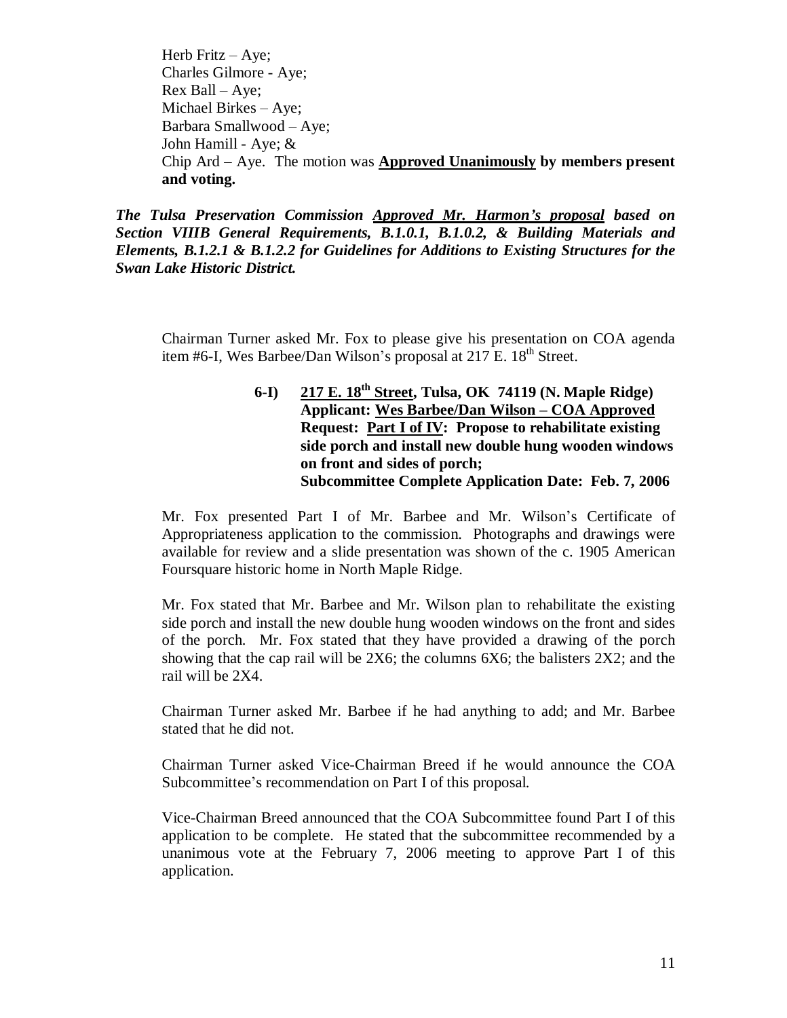Herb Fritz  $-$  Aye; Charles Gilmore - Aye; Rex Ball –Aye; Michael Birkes – Aye; Barbara Smallwood – Aye; John Hamill - Aye; & Chip Ard – Aye. The motion was **Approved Unanimously by members present and voting.**

*The Tulsa Preservation Commission Approved Mr. Harmon's proposal based on Section VIIIB General Requirements, B.1.0.1, B.1.0.2, & Building Materials and Elements, B.1.2.1 & B.1.2.2 for Guidelines for Additions to Existing Structures for the Swan Lake Historic District.*

Chairman Turner asked Mr. Fox to please give his presentation on COA agenda item #6-I, Wes Barbee/Dan Wilson's proposal at  $217 \text{ E}$ .  $18^{\text{th}}$  Street.

> **6-I) 217 E. 18th Street, Tulsa, OK 74119 (N. Maple Ridge) Applicant: Wes Barbee/Dan Wilson – COA Approved Request: Part I of IV: Propose to rehabilitate existing side porch and install new double hung wooden windows on front and sides of porch; Subcommittee Complete Application Date: Feb. 7, 2006**

Mr. Fox presented Part I of Mr. Barbee and Mr. Wilson's Certificate of Appropriateness application to the commission. Photographs and drawings were available for review and a slide presentation was shown of the c. 1905 American Foursquare historic home in North Maple Ridge.

Mr. Fox stated that Mr. Barbee and Mr. Wilson plan to rehabilitate the existing side porch and install the new double hung wooden windows on the front and sides of the porch. Mr. Fox stated that they have provided a drawing of the porch showing that the cap rail will be 2X6; the columns 6X6; the balisters 2X2; and the rail will be 2X4.

Chairman Turner asked Mr. Barbee if he had anything to add; and Mr. Barbee stated that he did not.

Chairman Turner asked Vice-Chairman Breed if he would announce the COA Subcommittee's recommendation on Part I of this proposal.

Vice-Chairman Breed announced that the COA Subcommittee found Part I of this application to be complete. He stated that the subcommittee recommended by a unanimous vote at the February 7, 2006 meeting to approve Part I of this application.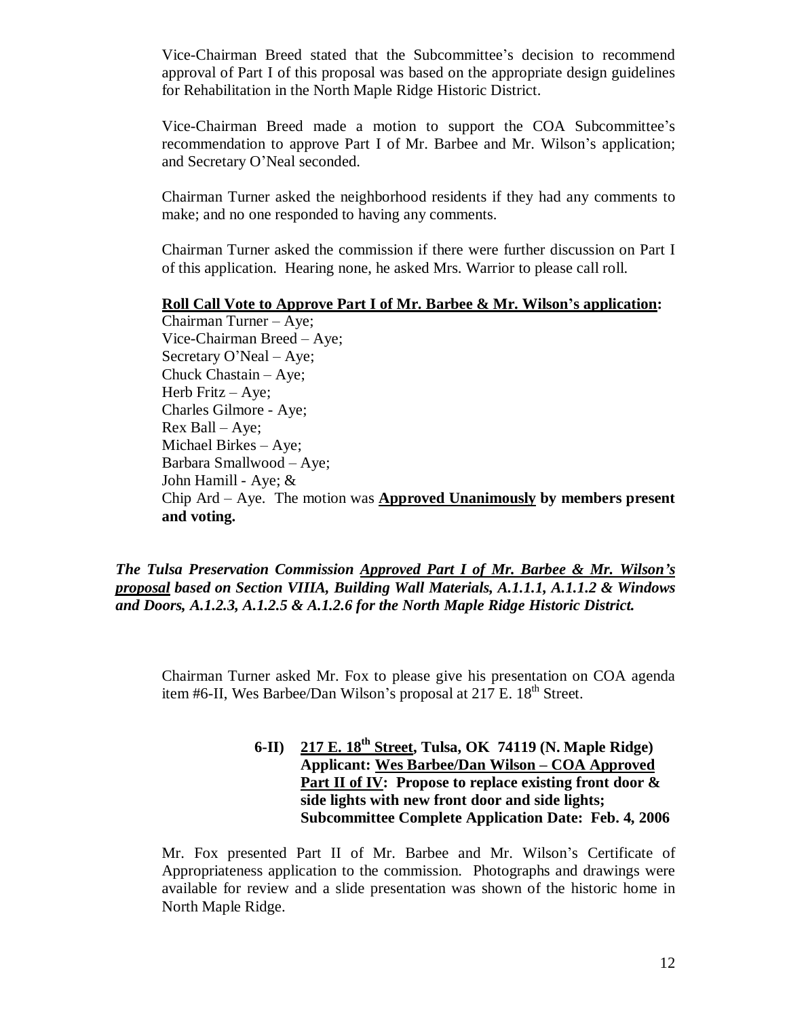Vice-Chairman Breed stated that the Subcommittee's decision to recommend approval of Part I of this proposal was based on the appropriate design guidelines for Rehabilitation in the North Maple Ridge Historic District.

Vice-Chairman Breed made a motion to support the COA Subcommittee's recommendation to approve Part I of Mr. Barbee and Mr. Wilson's application; and Secretary O'Neal seconded.

Chairman Turner asked the neighborhood residents if they had any comments to make; and no one responded to having any comments.

Chairman Turner asked the commission if there were further discussion on Part I of this application. Hearing none, he asked Mrs. Warrior to please call roll.

#### **Roll Call Vote to Approve Part I of Mr. Barbee & Mr. Wilson's application:**

Chairman Turner –Aye; Vice-Chairman Breed –Aye; Secretary O'Neal – Aye; Chuck Chastain – Aye; Herb Fritz – Aye; Charles Gilmore - Aye; Rex Ball –Aye; Michael Birkes – Aye; Barbara Smallwood – Aye; John Hamill - Aye; & Chip Ard – Aye. The motion was **Approved Unanimously by members present and voting.**

*The Tulsa Preservation Commission Approved Part I of Mr. Barbee & Mr. Wilson's proposal based on Section VIIIA, Building Wall Materials, A.1.1.1, A.1.1.2 & Windows and Doors, A.1.2.3, A.1.2.5 & A.1.2.6 for the North Maple Ridge Historic District.*

Chairman Turner asked Mr. Fox to please give his presentation on COA agenda item #6-II, Wes Barbee/Dan Wilson's proposal at  $217$  E.  $18<sup>th</sup>$  Street.

> **6-II) 217 E. 18th Street, Tulsa, OK 74119 (N. Maple Ridge) Applicant: Wes Barbee/Dan Wilson – COA Approved Part II of IV: Propose to replace existing front door & side lights with new front door and side lights; Subcommittee Complete Application Date: Feb. 4, 2006**

Mr. Fox presented Part II of Mr. Barbee and Mr. Wilson's Certificate of Appropriateness application to the commission. Photographs and drawings were available for review and a slide presentation was shown of the historic home in North Maple Ridge.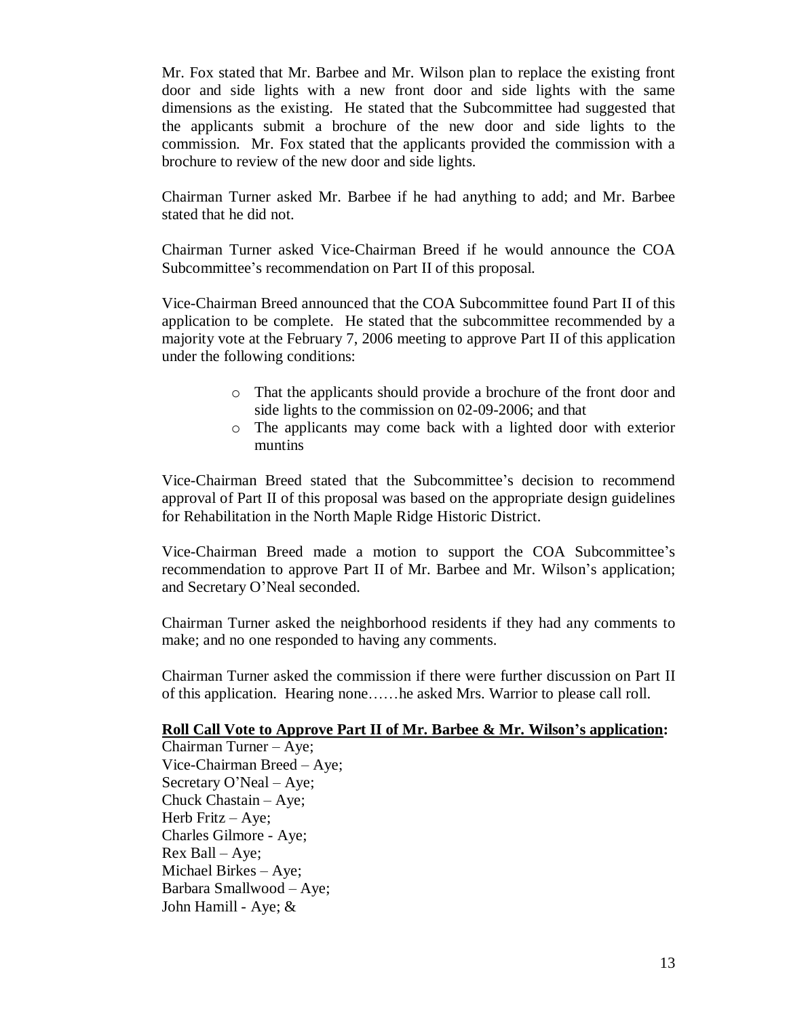Mr. Fox stated that Mr. Barbee and Mr. Wilson plan to replace the existing front door and side lights with a new front door and side lights with the same dimensions as the existing. He stated that the Subcommittee had suggested that the applicants submit a brochure of the new door and side lights to the commission. Mr. Fox stated that the applicants provided the commission with a brochure to review of the new door and side lights.

Chairman Turner asked Mr. Barbee if he had anything to add; and Mr. Barbee stated that he did not.

Chairman Turner asked Vice-Chairman Breed if he would announce the COA Subcommittee's recommendation on Part II of this proposal.

Vice-Chairman Breed announced that the COA Subcommittee found Part II of this application to be complete. He stated that the subcommittee recommended by a majority vote at the February 7, 2006 meeting to approve Part II of this application under the following conditions:

- o That the applicants should provide a brochure of the front door and side lights to the commission on 02-09-2006; and that
- o The applicants may come back with a lighted door with exterior muntins

Vice-Chairman Breed stated that the Subcommittee's decision to recommend approval of Part II of this proposal was based on the appropriate design guidelines for Rehabilitation in the North Maple Ridge Historic District.

Vice-Chairman Breed made a motion to support the COA Subcommittee's recommendation to approve Part II of Mr. Barbee and Mr. Wilson's application; and Secretary O'Neal seconded.

Chairman Turner asked the neighborhood residents if they had any comments to make; and no one responded to having any comments.

Chairman Turner asked the commission if there were further discussion on Part II of this application. Hearing none……he asked Mrs. Warrior to please call roll.

## **Roll Call Vote to Approve Part II of Mr. Barbee & Mr. Wilson's application:**

Chairman Turner –Aye; Vice-Chairman Breed –Aye; Secretary O'Neal – Aye; Chuck Chastain – Aye; Herb Fritz – Aye; Charles Gilmore - Aye; Rex Ball –Aye; Michael Birkes – Aye; Barbara Smallwood – Aye; John Hamill - Aye; &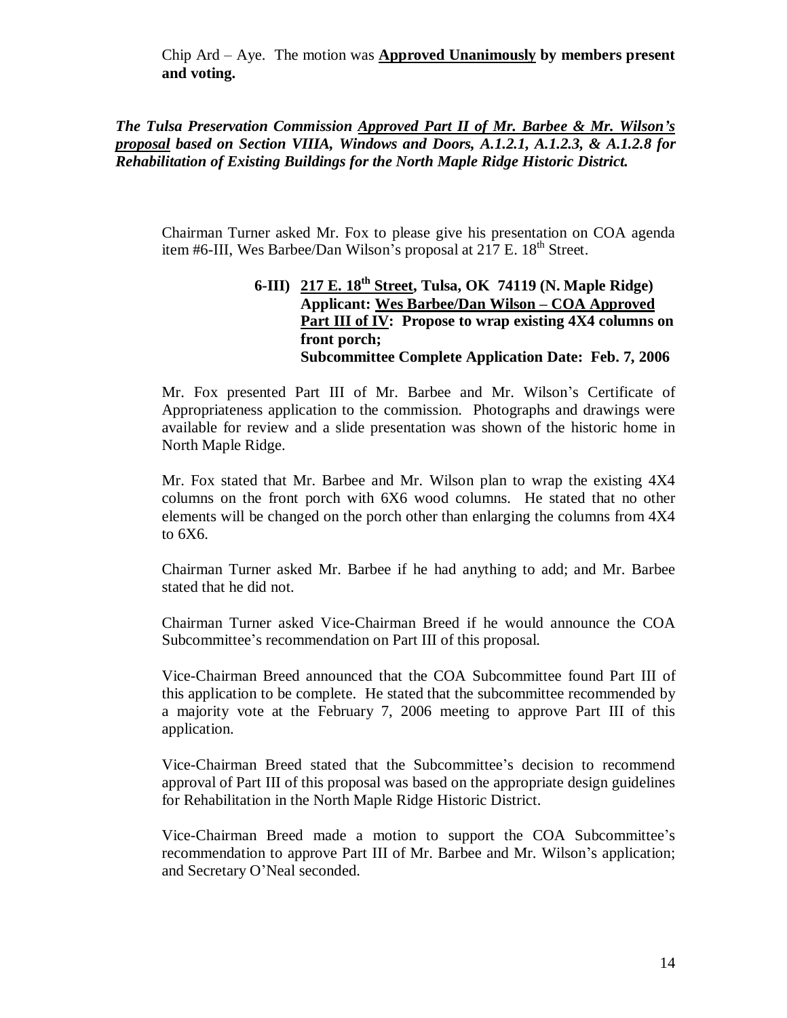Chip Ard – Aye. The motion was **Approved Unanimously by members present and voting.**

*The Tulsa Preservation Commission Approved Part II of Mr. Barbee & Mr. Wilson's proposal based on Section VIIIA, Windows and Doors, A.1.2.1, A.1.2.3, & A.1.2.8 for Rehabilitation of Existing Buildings for the North Maple Ridge Historic District.*

Chairman Turner asked Mr. Fox to please give his presentation on COA agenda item #6-III, Wes Barbee/Dan Wilson's proposal at  $217 \text{ E}$ .  $18^{\text{th}}$  Street.

## **6-III) 217 E. 18th Street, Tulsa, OK 74119 (N. Maple Ridge) Applicant: Wes Barbee/Dan Wilson – COA Approved Part III of IV: Propose to wrap existing 4X4 columns on front porch; Subcommittee Complete Application Date: Feb. 7, 2006**

Mr. Fox presented Part III of Mr. Barbee and Mr. Wilson's Certificate of Appropriateness application to the commission. Photographs and drawings were available for review and a slide presentation was shown of the historic home in North Maple Ridge.

Mr. Fox stated that Mr. Barbee and Mr. Wilson plan to wrap the existing 4X4 columns on the front porch with 6X6 wood columns. He stated that no other elements will be changed on the porch other than enlarging the columns from 4X4 to 6X6.

Chairman Turner asked Mr. Barbee if he had anything to add; and Mr. Barbee stated that he did not.

Chairman Turner asked Vice-Chairman Breed if he would announce the COA Subcommittee's recommendation on Part III of this proposal.

Vice-Chairman Breed announced that the COA Subcommittee found Part III of this application to be complete. He stated that the subcommittee recommended by a majority vote at the February 7, 2006 meeting to approve Part III of this application.

Vice-Chairman Breed stated that the Subcommittee's decision to recommend approval of Part III of this proposal was based on the appropriate design guidelines for Rehabilitation in the North Maple Ridge Historic District.

Vice-Chairman Breed made a motion to support the COA Subcommittee's recommendation to approve Part III of Mr. Barbee and Mr. Wilson's application; and Secretary O'Neal seconded.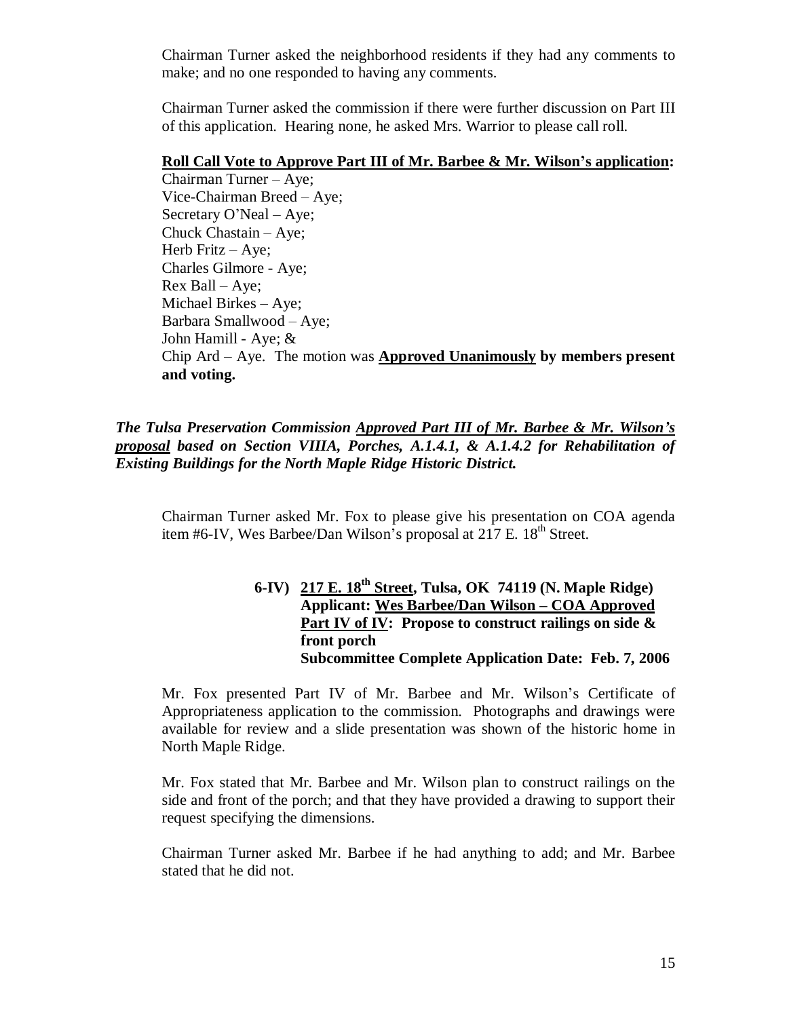Chairman Turner asked the neighborhood residents if they had any comments to make; and no one responded to having any comments.

Chairman Turner asked the commission if there were further discussion on Part III of this application. Hearing none, he asked Mrs. Warrior to please call roll.

## **Roll Call Vote to Approve Part III of Mr. Barbee & Mr. Wilson's application:**

Chairman Turner –Aye; Vice-Chairman Breed –Aye; Secretary O'Neal – Aye; Chuck Chastain – Aye; Herb Fritz – Aye; Charles Gilmore - Aye; Rex Ball –Aye; Michael Birkes – Aye; Barbara Smallwood – Aye; John Hamill - Aye; & Chip Ard – Aye. The motion was **Approved Unanimously by members present and voting.**

## *The Tulsa Preservation Commission Approved Part III of Mr. Barbee & Mr. Wilson's proposal based on Section VIIIA, Porches, A.1.4.1, & A.1.4.2 for Rehabilitation of Existing Buildings for the North Maple Ridge Historic District.*

Chairman Turner asked Mr. Fox to please give his presentation on COA agenda item #6-IV, Wes Barbee/Dan Wilson's proposal at  $217$  E.  $18<sup>th</sup>$  Street.

## **6-IV) 217 E. 18th Street, Tulsa, OK 74119 (N. Maple Ridge) Applicant: Wes Barbee/Dan Wilson – COA Approved Part IV of IV: Propose to construct railings on side & front porch Subcommittee Complete Application Date: Feb. 7, 2006**

Mr. Fox presented Part IV of Mr. Barbee and Mr. Wilson's Certificate of Appropriateness application to the commission. Photographs and drawings were available for review and a slide presentation was shown of the historic home in North Maple Ridge.

Mr. Fox stated that Mr. Barbee and Mr. Wilson plan to construct railings on the side and front of the porch; and that they have provided a drawing to support their request specifying the dimensions.

Chairman Turner asked Mr. Barbee if he had anything to add; and Mr. Barbee stated that he did not.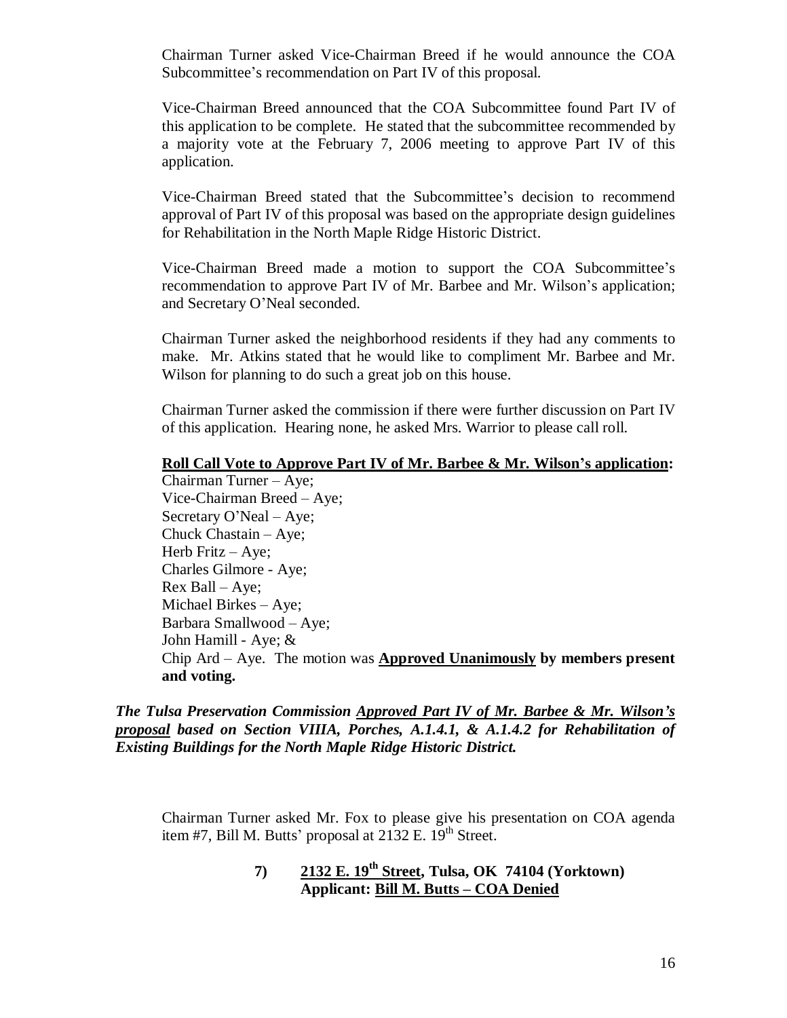Chairman Turner asked Vice-Chairman Breed if he would announce the COA Subcommittee's recommendation on Part IV of this proposal.

Vice-Chairman Breed announced that the COA Subcommittee found Part IV of this application to be complete. He stated that the subcommittee recommended by a majority vote at the February 7, 2006 meeting to approve Part IV of this application.

Vice-Chairman Breed stated that the Subcommittee's decision to recommend approval of Part IV of this proposal was based on the appropriate design guidelines for Rehabilitation in the North Maple Ridge Historic District.

Vice-Chairman Breed made a motion to support the COA Subcommittee's recommendation to approve Part IV of Mr. Barbee and Mr. Wilson's application; and Secretary O'Neal seconded.

Chairman Turner asked the neighborhood residents if they had any comments to make. Mr. Atkins stated that he would like to compliment Mr. Barbee and Mr. Wilson for planning to do such a great job on this house.

Chairman Turner asked the commission if there were further discussion on Part IV of this application. Hearing none, he asked Mrs. Warrior to please call roll.

## **Roll Call Vote to Approve Part IV of Mr. Barbee & Mr. Wilson's application:**

Chairman Turner –Aye; Vice-Chairman Breed –Aye; Secretary O'Neal – Aye; Chuck Chastain – Aye; Herb Fritz – Aye; Charles Gilmore - Aye; Rex Ball –Aye; Michael Birkes – Aye; Barbara Smallwood – Aye; John Hamill - Aye; & Chip Ard – Aye. The motion was **Approved Unanimously by members present and voting.**

*The Tulsa Preservation Commission Approved Part IV of Mr. Barbee & Mr. Wilson's proposal based on Section VIIIA, Porches, A.1.4.1, & A.1.4.2 for Rehabilitation of Existing Buildings for the North Maple Ridge Historic District.*

Chairman Turner asked Mr. Fox to please give his presentation on COA agenda item #7, Bill M. Butts' proposal at  $2132$  E.  $19<sup>th</sup>$  Street.

> **7) 2132 E. 19th Street, Tulsa, OK 74104 (Yorktown) Applicant: Bill M. Butts – COA Denied**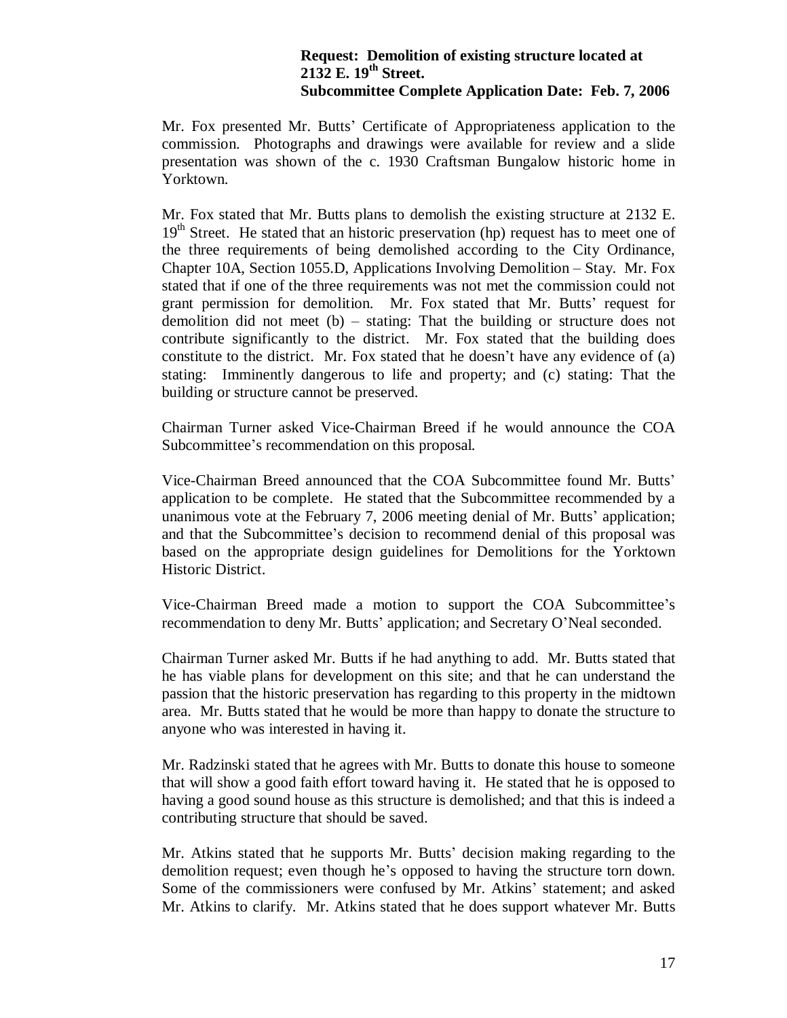## **Request: Demolition of existing structure located at 2132 E. 19th Street. Subcommittee Complete Application Date: Feb. 7, 2006**

Mr. Fox presented Mr. Butts' Certificate of Appropriateness application to the commission. Photographs and drawings were available for review and a slide presentation was shown of the c. 1930 Craftsman Bungalow historic home in Yorktown.

Mr. Fox stated that Mr. Butts plans to demolish the existing structure at 2132 E.  $19<sup>th</sup>$  Street. He stated that an historic preservation (hp) request has to meet one of the three requirements of being demolished according to the City Ordinance, Chapter 10A, Section 1055.D, Applications Involving Demolition – Stay. Mr. Fox stated that if one of the three requirements was not met the commission could not grant permission for demolition. Mr. Fox stated that Mr. Butts' request for demolition did not meet (b) – stating: That the building or structure does not contribute significantly to the district. Mr. Fox stated that the building does constitute to the district. Mr. Fox stated that he doesn't have any evidence of (a) stating: Imminently dangerous to life and property; and (c) stating: That the building or structure cannot be preserved.

Chairman Turner asked Vice-Chairman Breed if he would announce the COA Subcommittee's recommendation on this proposal.

Vice-Chairman Breed announced that the COA Subcommittee found Mr. Butts' application to be complete. He stated that the Subcommittee recommended by a unanimous vote at the February 7, 2006 meeting denial of Mr. Butts' application; and that the Subcommittee's decision to recommend denial of this proposal was based on the appropriate design guidelines for Demolitions for the Yorktown Historic District.

Vice-Chairman Breed made a motion to support the COA Subcommittee's recommendation to deny Mr. Butts' application; and Secretary O'Neal seconded.

Chairman Turner asked Mr. Butts if he had anything to add. Mr. Butts stated that he has viable plans for development on this site; and that he can understand the passion that the historic preservation has regarding to this property in the midtown area. Mr. Butts stated that he would be more than happy to donate the structure to anyone who was interested in having it.

Mr. Radzinski stated that he agrees with Mr. Butts to donate this house to someone that will show a good faith effort toward having it. He stated that he is opposed to having a good sound house as this structure is demolished; and that this is indeed a contributing structure that should be saved.

Mr. Atkins stated that he supports Mr. Butts' decision making regarding to the demolition request; even though he's opposed to having the structure torn down. Some of the commissioners were confused by Mr. Atkins' statement; and asked Mr. Atkins to clarify. Mr. Atkins stated that he does support whatever Mr. Butts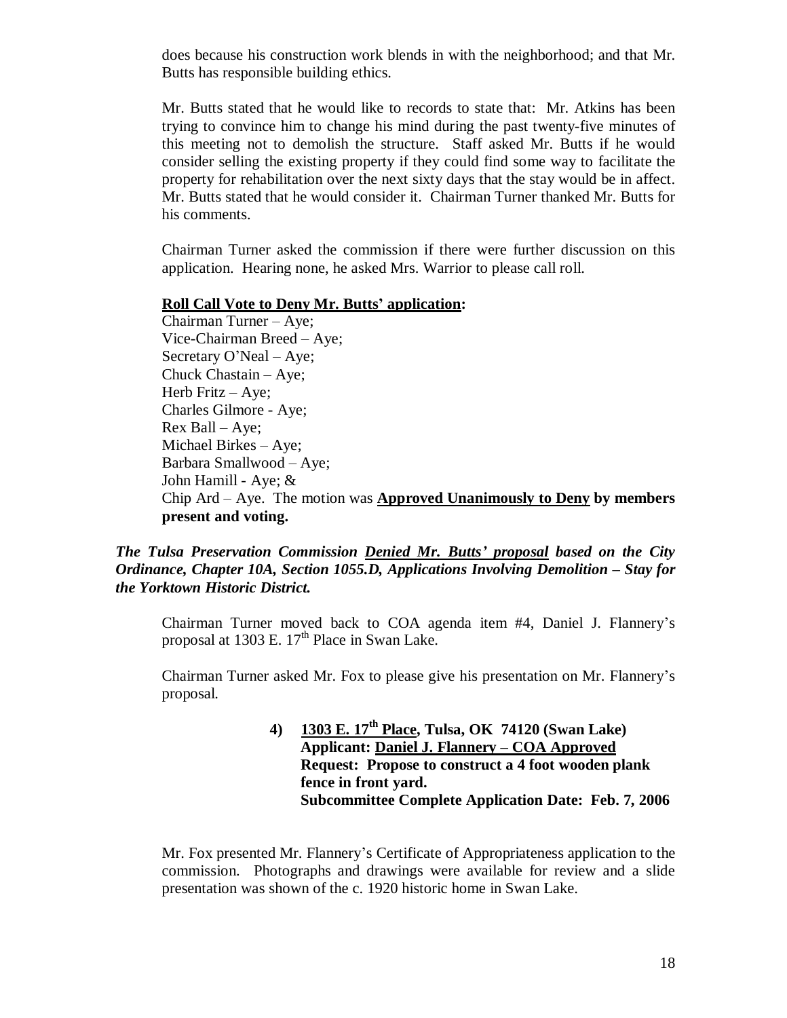does because his construction work blends in with the neighborhood; and that Mr. Butts has responsible building ethics.

Mr. Butts stated that he would like to records to state that: Mr. Atkins has been trying to convince him to change his mind during the past twenty-five minutes of this meeting not to demolish the structure. Staff asked Mr. Butts if he would consider selling the existing property if they could find some way to facilitate the property for rehabilitation over the next sixty days that the stay would be in affect. Mr. Butts stated that he would consider it. Chairman Turner thanked Mr. Butts for his comments.

Chairman Turner asked the commission if there were further discussion on this application. Hearing none, he asked Mrs. Warrior to please call roll.

### **Roll Call Vote to Deny Mr. Butts' application:**

Chairman Turner –Aye; Vice-Chairman Breed –Aye; Secretary O'Neal – Aye; Chuck Chastain – Aye; Herb Fritz – Aye; Charles Gilmore - Aye; Rex Ball –Aye; Michael Birkes – Aye; Barbara Smallwood – Aye; John Hamill - Aye; & Chip Ard – Aye. The motion was **Approved Unanimously to Deny by members present and voting.**

*The Tulsa Preservation Commission Denied Mr. Butts' proposal based on the City Ordinance, Chapter 10A, Section 1055.D, Applications Involving Demolition – Stay for the Yorktown Historic District.*

Chairman Turner moved back to COA agenda item #4, Daniel J. Flannery's proposal at 1303 E.  $17<sup>th</sup>$  Place in Swan Lake.

Chairman Turner asked Mr. Fox to please give his presentation on Mr. Flannery's proposal.

> **4) 1303 E. 17th Place, Tulsa, OK 74120 (Swan Lake) Applicant: Daniel J. Flannery – COA Approved Request: Propose to construct a 4 foot wooden plank fence in front yard. Subcommittee Complete Application Date: Feb. 7, 2006**

Mr. Fox presented Mr. Flannery's Certificate of Appropriateness application to the commission. Photographs and drawings were available for review and a slide presentation was shown of the c. 1920 historic home in Swan Lake.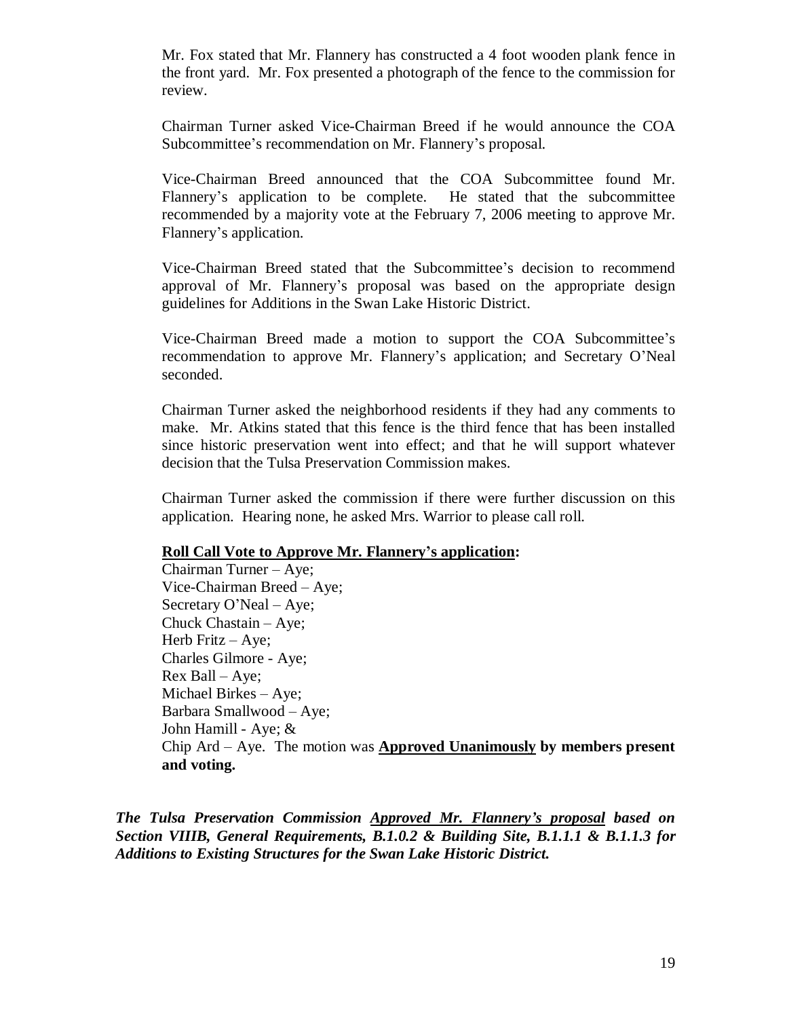Mr. Fox stated that Mr. Flannery has constructed a 4 foot wooden plank fence in the front yard. Mr. Fox presented a photograph of the fence to the commission for review.

Chairman Turner asked Vice-Chairman Breed if he would announce the COA Subcommittee's recommendation on Mr. Flannery's proposal.

Vice-Chairman Breed announced that the COA Subcommittee found Mr. Flannery's application to be complete. He stated that the subcommittee recommended by a majority vote at the February 7, 2006 meeting to approve Mr. Flannery's application.

Vice-Chairman Breed stated that the Subcommittee's decision to recommend approval of Mr. Flannery's proposal was based on the appropriate design guidelines for Additions in the Swan Lake Historic District.

Vice-Chairman Breed made a motion to support the COA Subcommittee's recommendation to approve Mr. Flannery's application; and Secretary O'Neal seconded.

Chairman Turner asked the neighborhood residents if they had any comments to make. Mr. Atkins stated that this fence is the third fence that has been installed since historic preservation went into effect; and that he will support whatever decision that the Tulsa Preservation Commission makes.

Chairman Turner asked the commission if there were further discussion on this application. Hearing none, he asked Mrs. Warrior to please call roll.

### **Roll Call Vote to Approve Mr. Flannery's application:**

Chairman Turner –Aye; Vice-Chairman Breed –Aye; Secretary O'Neal – Aye; Chuck Chastain – Aye; Herb Fritz – Aye; Charles Gilmore - Aye; Rex Ball –Aye; Michael Birkes – Aye; Barbara Smallwood – Aye; John Hamill - Aye; & Chip Ard – Aye. The motion was **Approved Unanimously by members present and voting.**

*The Tulsa Preservation Commission Approved Mr. Flannery's proposal based on Section VIIIB, General Requirements, B.1.0.2 & Building Site, B.1.1.1 & B.1.1.3 for Additions to Existing Structures for the Swan Lake Historic District.*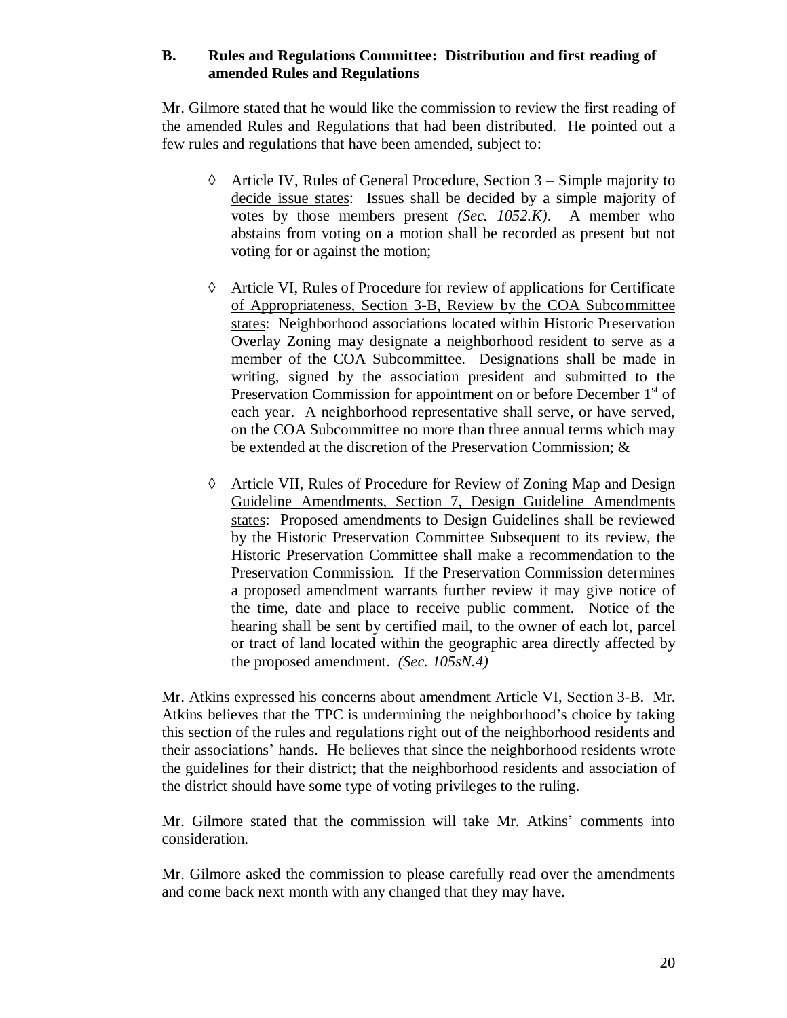## **B. Rules and Regulations Committee: Distribution and first reading of amended Rules and Regulations**

Mr. Gilmore stated that he would like the commission to review the first reading of the amended Rules and Regulations that had been distributed. He pointed out a few rules and regulations that have been amended, subject to:

- $\Diamond$  Article IV, Rules of General Procedure, Section 3 Simple majority to decide issue states: Issues shall be decided by a simple majority of votes by those members present *(Sec. 1052.K)*. A member who abstains from voting on a motion shall be recorded as present but not voting for or against the motion;
- Article VI, Rules of Procedure for review of applications for Certificate of Appropriateness, Section 3-B, Review by the COA Subcommittee states: Neighborhood associations located within Historic Preservation Overlay Zoning may designate a neighborhood resident to serve as a member of the COA Subcommittee. Designations shall be made in writing, signed by the association president and submitted to the Preservation Commission for appointment on or before December  $1<sup>st</sup>$  of each year. A neighborhood representative shall serve, or have served, on the COA Subcommittee no more than three annual terms which may be extended at the discretion of the Preservation Commission; &
- Article VII, Rules of Procedure for Review of Zoning Map and Design Guideline Amendments, Section 7, Design Guideline Amendments states: Proposed amendments to Design Guidelines shall be reviewed by the Historic Preservation Committee Subsequent to its review, the Historic Preservation Committee shall make a recommendation to the Preservation Commission. If the Preservation Commission determines a proposed amendment warrants further review it may give notice of the time, date and place to receive public comment. Notice of the hearing shall be sent by certified mail, to the owner of each lot, parcel or tract of land located within the geographic area directly affected by the proposed amendment. *(Sec. 105sN.4)*

Mr. Atkins expressed his concerns about amendment Article VI, Section 3-B. Mr. Atkins believes that the TPC is undermining the neighborhood's choice by taking this section of the rules and regulations right out of the neighborhood residents and their associations' hands. He believes that since the neighborhood residents wrote the guidelines for their district; that the neighborhood residents and association of the district should have some type of voting privileges to the ruling.

Mr. Gilmore stated that the commission will take Mr. Atkins' comments into consideration.

Mr. Gilmore asked the commission to please carefully read over the amendments and come back next month with any changed that they may have.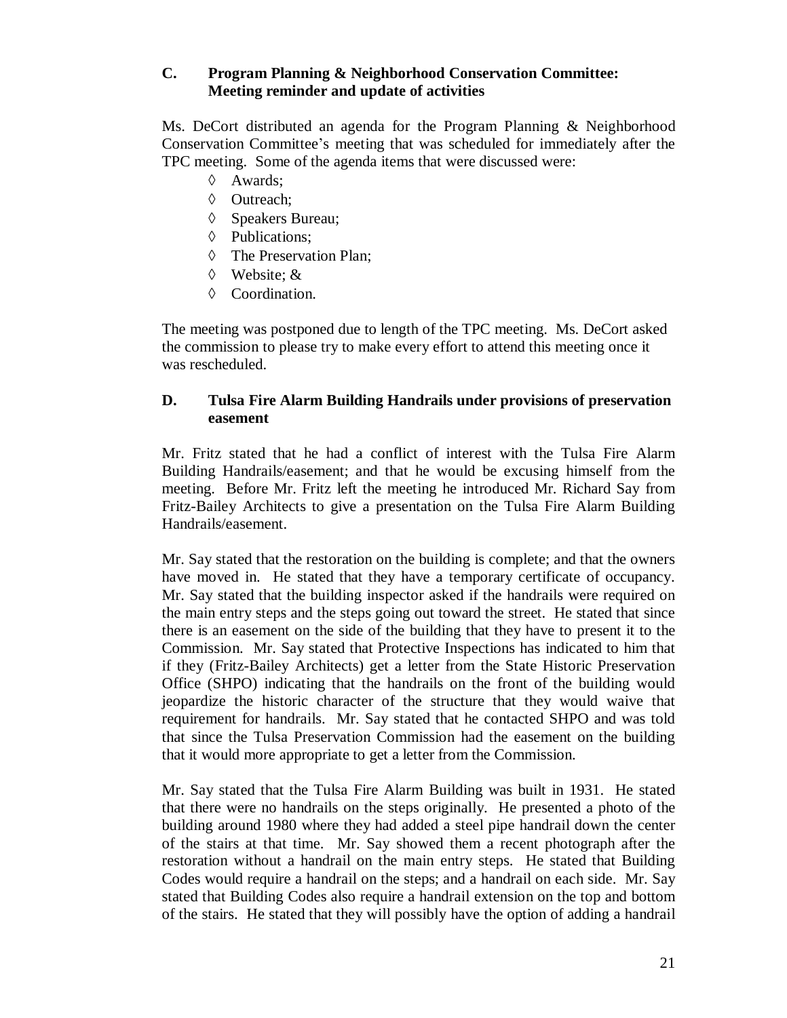## **C. Program Planning & Neighborhood Conservation Committee: Meeting reminder and update of activities**

Ms. DeCort distributed an agenda for the Program Planning & Neighborhood Conservation Committee's meeting that was scheduled for immediately after the TPC meeting. Some of the agenda items that were discussed were:

- $\Diamond$  Awards:
- ♦ Outreach:
- $\Diamond$  Speakers Bureau;
- $\Diamond$  Publications:
- $\Diamond$  The Preservation Plan;
- Website; &
- $\Diamond$  Coordination.

The meeting was postponed due to length of the TPC meeting. Ms. DeCort asked the commission to please try to make every effort to attend this meeting once it was rescheduled.

## **D. Tulsa Fire Alarm Building Handrails under provisions of preservation easement**

Mr. Fritz stated that he had a conflict of interest with the Tulsa Fire Alarm Building Handrails/easement; and that he would be excusing himself from the meeting. Before Mr. Fritz left the meeting he introduced Mr. Richard Say from Fritz-Bailey Architects to give a presentation on the Tulsa Fire Alarm Building Handrails/easement.

Mr. Say stated that the restoration on the building is complete; and that the owners have moved in. He stated that they have a temporary certificate of occupancy. Mr. Say stated that the building inspector asked if the handrails were required on the main entry steps and the steps going out toward the street. He stated that since there is an easement on the side of the building that they have to present it to the Commission. Mr. Say stated that Protective Inspections has indicated to him that if they (Fritz-Bailey Architects) get a letter from the State Historic Preservation Office (SHPO) indicating that the handrails on the front of the building would jeopardize the historic character of the structure that they would waive that requirement for handrails. Mr. Say stated that he contacted SHPO and was told that since the Tulsa Preservation Commission had the easement on the building that it would more appropriate to get a letter from the Commission.

Mr. Say stated that the Tulsa Fire Alarm Building was built in 1931. He stated that there were no handrails on the steps originally. He presented a photo of the building around 1980 where they had added a steel pipe handrail down the center of the stairs at that time. Mr. Say showed them a recent photograph after the restoration without a handrail on the main entry steps. He stated that Building Codes would require a handrail on the steps; and a handrail on each side. Mr. Say stated that Building Codes also require a handrail extension on the top and bottom of the stairs. He stated that they will possibly have the option of adding a handrail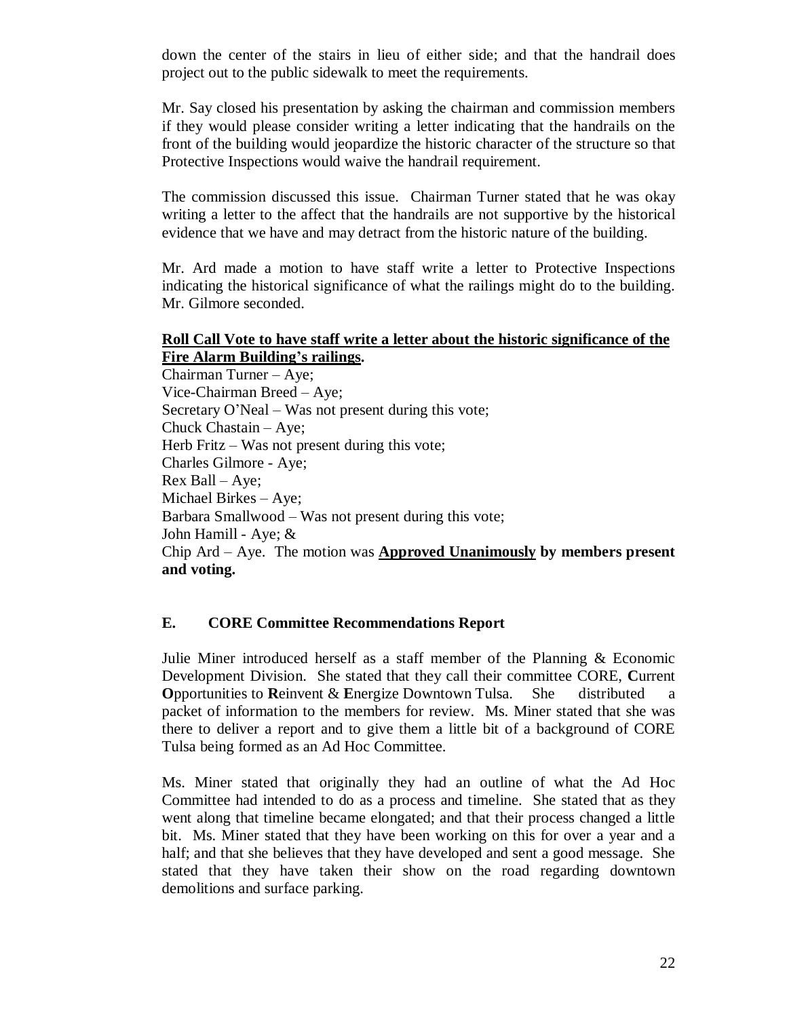down the center of the stairs in lieu of either side; and that the handrail does project out to the public sidewalk to meet the requirements.

Mr. Say closed his presentation by asking the chairman and commission members if they would please consider writing a letter indicating that the handrails on the front of the building would jeopardize the historic character of the structure so that Protective Inspections would waive the handrail requirement.

The commission discussed this issue. Chairman Turner stated that he was okay writing a letter to the affect that the handrails are not supportive by the historical evidence that we have and may detract from the historic nature of the building.

Mr. Ard made a motion to have staff write a letter to Protective Inspections indicating the historical significance of what the railings might do to the building. Mr. Gilmore seconded.

## **Roll Call Vote to have staff write a letter about the historic significance of the Fire Alarm Building's railings.**

Chairman Turner –Aye; Vice-Chairman Breed –Aye; Secretary O'Neal – Was not present during this vote; Chuck Chastain – Aye; Herb Fritz – Was not present during this vote; Charles Gilmore - Aye; Rex Ball – Aye; Michael Birkes – Aye; Barbara Smallwood –Was not present during this vote; John Hamill - Aye; & Chip Ard – Aye. The motion was **Approved Unanimously by members present and voting.**

## **E. CORE Committee Recommendations Report**

Julie Miner introduced herself as a staff member of the Planning & Economic Development Division. She stated that they call their committee CORE, **C**urrent **O**pportunities to **R**einvent & **E**nergize Downtown Tulsa. She distributed a packet of information to the members for review. Ms. Miner stated that she was there to deliver a report and to give them a little bit of a background of CORE Tulsa being formed as an Ad Hoc Committee.

Ms. Miner stated that originally they had an outline of what the Ad Hoc Committee had intended to do as a process and timeline. She stated that as they went along that timeline became elongated; and that their process changed a little bit. Ms. Miner stated that they have been working on this for over a year and a half; and that she believes that they have developed and sent a good message. She stated that they have taken their show on the road regarding downtown demolitions and surface parking.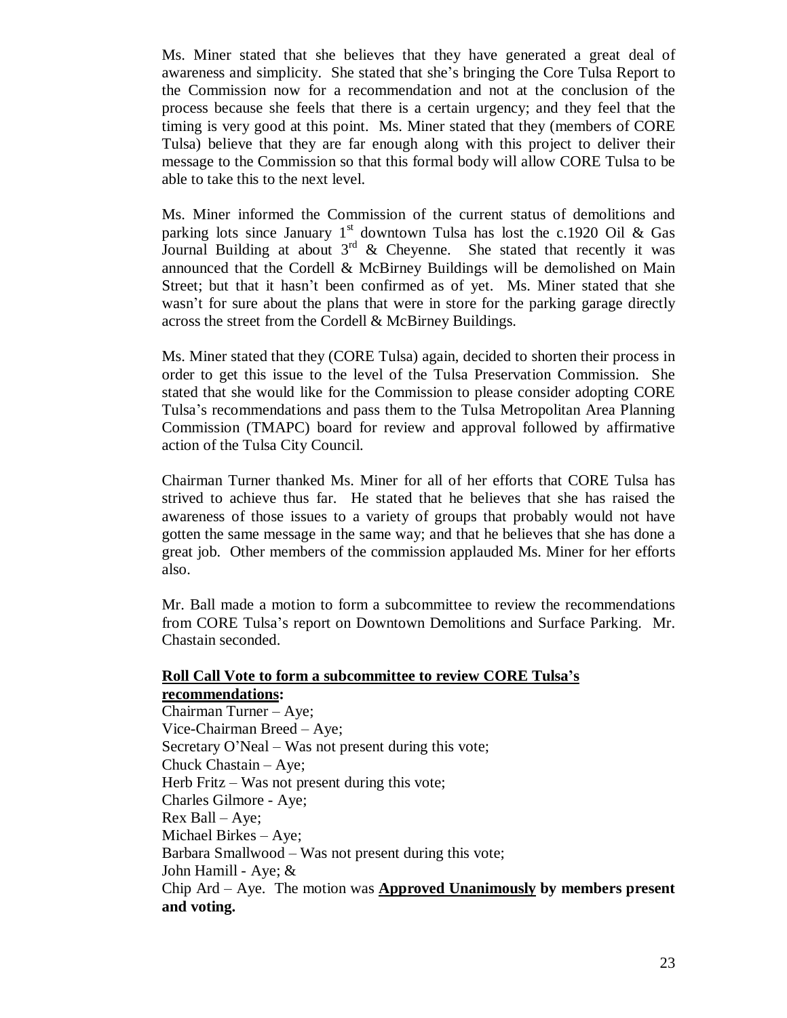Ms. Miner stated that she believes that they have generated a great deal of awareness and simplicity. She stated that she's bringing the Core Tulsa Report to the Commission now for a recommendation and not at the conclusion of the process because she feels that there is a certain urgency; and they feel that the timing is very good at this point. Ms. Miner stated that they (members of CORE Tulsa) believe that they are far enough along with this project to deliver their message to the Commission so that this formal body will allow CORE Tulsa to be able to take this to the next level.

Ms. Miner informed the Commission of the current status of demolitions and parking lots since January 1<sup>st</sup> downtown Tulsa has lost the c.1920 Oil & Gas Journal Building at about  $3<sup>rd</sup>$  & Cheyenne. She stated that recently it was announced that the Cordell & McBirney Buildings will be demolished on Main Street; but that it hasn't been confirmed as of yet. Ms. Miner stated that she wasn't for sure about the plans that were in store for the parking garage directly across the street from the Cordell & McBirney Buildings.

Ms. Miner stated that they (CORE Tulsa) again, decided to shorten their process in order to get this issue to the level of the Tulsa Preservation Commission. She stated that she would like for the Commission to please consider adopting CORE Tulsa's recommendations and pass them to the Tulsa Metropolitan Area Planning Commission (TMAPC) board for review and approval followed by affirmative action of the Tulsa City Council.

Chairman Turner thanked Ms. Miner for all of her efforts that CORE Tulsa has strived to achieve thus far. He stated that he believes that she has raised the awareness of those issues to a variety of groups that probably would not have gotten the same message in the same way; and that he believes that she has done a great job. Other members of the commission applauded Ms. Miner for her efforts also.

Mr. Ball made a motion to form a subcommittee to review the recommendations from CORE Tulsa's report on Downtown Demolitions and Surface Parking. Mr. Chastain seconded.

## **Roll Call Vote to form a subcommittee to review CORE Tulsa's recommendations:** Chairman Turner –Aye; Vice-Chairman Breed –Aye; Secretary O'Neal – Was not present during this vote; Chuck Chastain – Aye; Herb Fritz – Was not present during this vote; Charles Gilmore - Aye; Rex Ball –Aye; Michael Birkes – Aye; Barbara Smallwood –Was not present during this vote; John Hamill - Aye; & Chip Ard – Aye. The motion was **Approved Unanimously by members present and voting.**